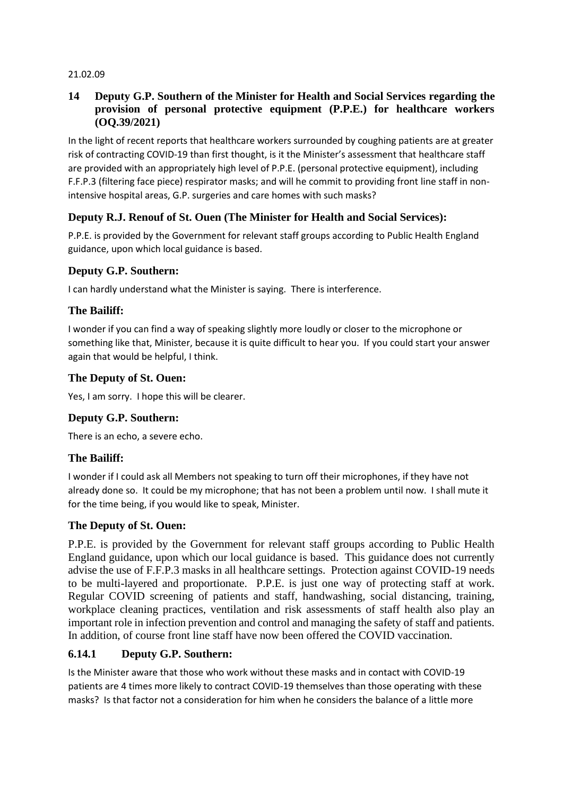#### 21.02.09

### **14 Deputy G.P. Southern of the Minister for Health and Social Services regarding the provision of personal protective equipment (P.P.E.) for healthcare workers (OQ.39/2021)**

In the light of recent reports that healthcare workers surrounded by coughing patients are at greater risk of contracting COVID-19 than first thought, is it the Minister's assessment that healthcare staff are provided with an appropriately high level of P.P.E. (personal protective equipment), including F.F.P.3 (filtering face piece) respirator masks; and will he commit to providing front line staff in nonintensive hospital areas, G.P. surgeries and care homes with such masks?

### **Deputy R.J. Renouf of St. Ouen (The Minister for Health and Social Services):**

P.P.E. is provided by the Government for relevant staff groups according to Public Health England guidance, upon which local guidance is based.

### **Deputy G.P. Southern:**

I can hardly understand what the Minister is saying. There is interference.

### **The Bailiff:**

I wonder if you can find a way of speaking slightly more loudly or closer to the microphone or something like that, Minister, because it is quite difficult to hear you. If you could start your answer again that would be helpful, I think.

### **The Deputy of St. Ouen:**

Yes, I am sorry. I hope this will be clearer.

# **Deputy G.P. Southern:**

There is an echo, a severe echo.

# **The Bailiff:**

I wonder if I could ask all Members not speaking to turn off their microphones, if they have not already done so. It could be my microphone; that has not been a problem until now. I shall mute it for the time being, if you would like to speak, Minister.

### **The Deputy of St. Ouen:**

P.P.E. is provided by the Government for relevant staff groups according to Public Health England guidance, upon which our local guidance is based. This guidance does not currently advise the use of F.F.P.3 masks in all healthcare settings. Protection against COVID-19 needs to be multi-layered and proportionate. P.P.E. is just one way of protecting staff at work. Regular COVID screening of patients and staff, handwashing, social distancing, training, workplace cleaning practices, ventilation and risk assessments of staff health also play an important role in infection prevention and control and managing the safety of staff and patients. In addition, of course front line staff have now been offered the COVID vaccination.

# **6.14.1 Deputy G.P. Southern:**

Is the Minister aware that those who work without these masks and in contact with COVID-19 patients are 4 times more likely to contract COVID-19 themselves than those operating with these masks? Is that factor not a consideration for him when he considers the balance of a little more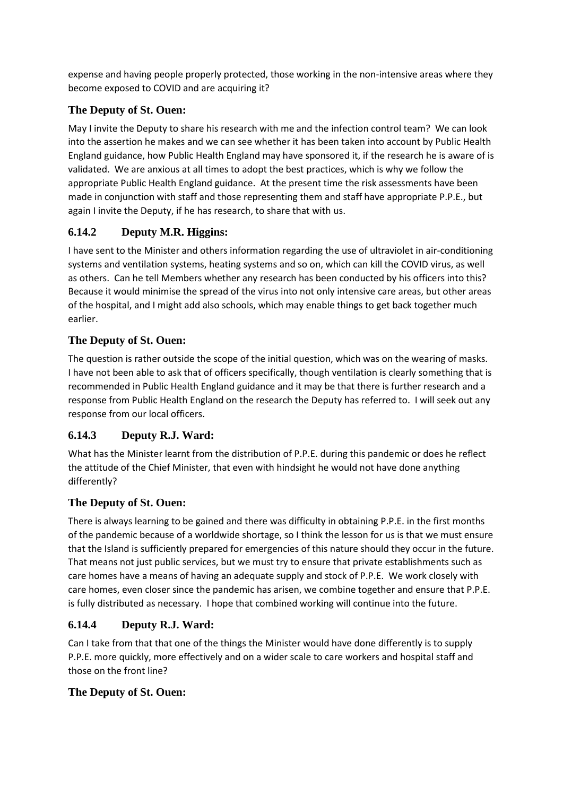expense and having people properly protected, those working in the non-intensive areas where they become exposed to COVID and are acquiring it?

# **The Deputy of St. Ouen:**

May I invite the Deputy to share his research with me and the infection control team? We can look into the assertion he makes and we can see whether it has been taken into account by Public Health England guidance, how Public Health England may have sponsored it, if the research he is aware of is validated. We are anxious at all times to adopt the best practices, which is why we follow the appropriate Public Health England guidance. At the present time the risk assessments have been made in conjunction with staff and those representing them and staff have appropriate P.P.E., but again I invite the Deputy, if he has research, to share that with us.

# **6.14.2 Deputy M.R. Higgins:**

I have sent to the Minister and others information regarding the use of ultraviolet in air-conditioning systems and ventilation systems, heating systems and so on, which can kill the COVID virus, as well as others. Can he tell Members whether any research has been conducted by his officers into this? Because it would minimise the spread of the virus into not only intensive care areas, but other areas of the hospital, and I might add also schools, which may enable things to get back together much earlier.

# **The Deputy of St. Ouen:**

The question is rather outside the scope of the initial question, which was on the wearing of masks. I have not been able to ask that of officers specifically, though ventilation is clearly something that is recommended in Public Health England guidance and it may be that there is further research and a response from Public Health England on the research the Deputy has referred to. I will seek out any response from our local officers.

# **6.14.3 Deputy R.J. Ward:**

What has the Minister learnt from the distribution of P.P.E. during this pandemic or does he reflect the attitude of the Chief Minister, that even with hindsight he would not have done anything differently?

# **The Deputy of St. Ouen:**

There is always learning to be gained and there was difficulty in obtaining P.P.E. in the first months of the pandemic because of a worldwide shortage, so I think the lesson for us is that we must ensure that the Island is sufficiently prepared for emergencies of this nature should they occur in the future. That means not just public services, but we must try to ensure that private establishments such as care homes have a means of having an adequate supply and stock of P.P.E. We work closely with care homes, even closer since the pandemic has arisen, we combine together and ensure that P.P.E. is fully distributed as necessary. I hope that combined working will continue into the future.

# **6.14.4 Deputy R.J. Ward:**

Can I take from that that one of the things the Minister would have done differently is to supply P.P.E. more quickly, more effectively and on a wider scale to care workers and hospital staff and those on the front line?

# **The Deputy of St. Ouen:**